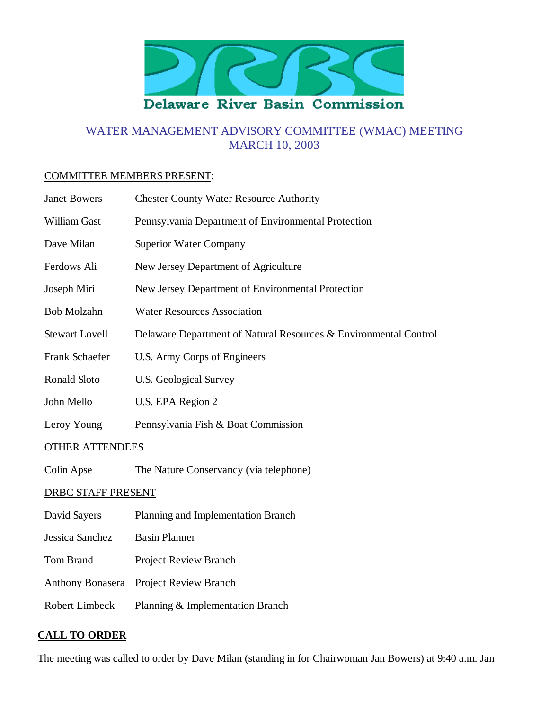

# WATER MANAGEMENT ADVISORY COMMITTEE (WMAC) MEETING MARCH 10, 2003

#### COMMITTEE MEMBERS PRESENT:

| <b>Janet Bowers</b>       | <b>Chester County Water Resource Authority</b>                   |
|---------------------------|------------------------------------------------------------------|
| William Gast              | Pennsylvania Department of Environmental Protection              |
| Dave Milan                | <b>Superior Water Company</b>                                    |
| Ferdows Ali               | New Jersey Department of Agriculture                             |
| Joseph Miri               | New Jersey Department of Environmental Protection                |
| <b>Bob Molzahn</b>        | <b>Water Resources Association</b>                               |
| <b>Stewart Lovell</b>     | Delaware Department of Natural Resources & Environmental Control |
| Frank Schaefer            | U.S. Army Corps of Engineers                                     |
| Ronald Sloto              | <b>U.S. Geological Survey</b>                                    |
| John Mello                | U.S. EPA Region 2                                                |
| Leroy Young               | Pennsylvania Fish & Boat Commission                              |
| <b>OTHER ATTENDEES</b>    |                                                                  |
| Colin Apse                | The Nature Conservancy (via telephone)                           |
| <b>DRBC STAFF PRESENT</b> |                                                                  |
| David Sayers              | Planning and Implementation Branch                               |
| Jessica Sanchez           | <b>Basin Planner</b>                                             |
| <b>Tom Brand</b>          | <b>Project Review Branch</b>                                     |
| <b>Anthony Bonasera</b>   | <b>Project Review Branch</b>                                     |
| <b>Robert Limbeck</b>     | Planning & Implementation Branch                                 |

#### **CALL TO ORDER**

The meeting was called to order by Dave Milan (standing in for Chairwoman Jan Bowers) at 9:40 a.m. Jan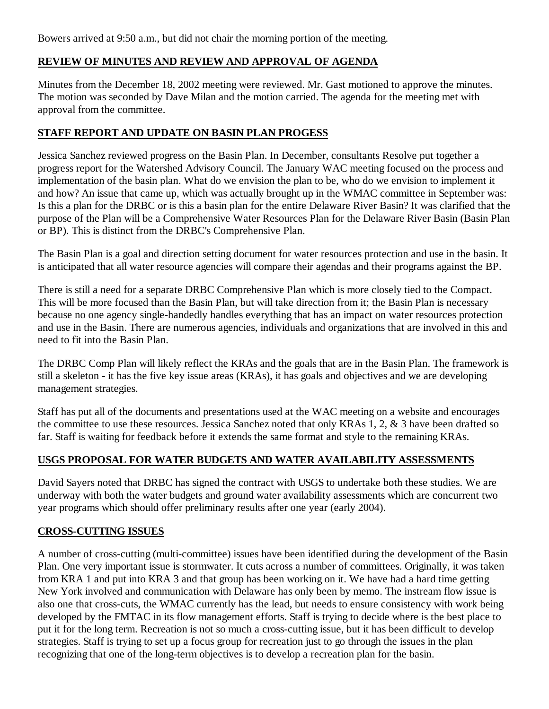Bowers arrived at 9:50 a.m., but did not chair the morning portion of the meeting.

## **REVIEW OF MINUTES AND REVIEW AND APPROVAL OF AGENDA**

Minutes from the December 18, 2002 meeting were reviewed. Mr. Gast motioned to approve the minutes. The motion was seconded by Dave Milan and the motion carried. The agenda for the meeting met with approval from the committee.

### **STAFF REPORT AND UPDATE ON BASIN PLAN PROGESS**

Jessica Sanchez reviewed progress on the Basin Plan. In December, consultants Resolve put together a progress report for the Watershed Advisory Council. The January WAC meeting focused on the process and implementation of the basin plan. What do we envision the plan to be, who do we envision to implement it and how? An issue that came up, which was actually brought up in the WMAC committee in September was: Is this a plan for the DRBC or is this a basin plan for the entire Delaware River Basin? It was clarified that the purpose of the Plan will be a Comprehensive Water Resources Plan for the Delaware River Basin (Basin Plan or BP). This is distinct from the DRBC's Comprehensive Plan.

The Basin Plan is a goal and direction setting document for water resources protection and use in the basin. It is anticipated that all water resource agencies will compare their agendas and their programs against the BP.

There is still a need for a separate DRBC Comprehensive Plan which is more closely tied to the Compact. This will be more focused than the Basin Plan, but will take direction from it; the Basin Plan is necessary because no one agency single-handedly handles everything that has an impact on water resources protection and use in the Basin. There are numerous agencies, individuals and organizations that are involved in this and need to fit into the Basin Plan.

The DRBC Comp Plan will likely reflect the KRAs and the goals that are in the Basin Plan. The framework is still a skeleton - it has the five key issue areas (KRAs), it has goals and objectives and we are developing management strategies.

Staff has put all of the documents and presentations used at the WAC meeting on a website and encourages the committee to use these resources. Jessica Sanchez noted that only KRAs 1, 2, & 3 have been drafted so far. Staff is waiting for feedback before it extends the same format and style to the remaining KRAs.

### **USGS PROPOSAL FOR WATER BUDGETS AND WATER AVAILABILITY ASSESSMENTS**

David Sayers noted that DRBC has signed the contract with USGS to undertake both these studies. We are underway with both the water budgets and ground water availability assessments which are concurrent two year programs which should offer preliminary results after one year (early 2004).

### **CROSS-CUTTING ISSUES**

A number of cross-cutting (multi-committee) issues have been identified during the development of the Basin Plan. One very important issue is stormwater. It cuts across a number of committees. Originally, it was taken from KRA 1 and put into KRA 3 and that group has been working on it. We have had a hard time getting New York involved and communication with Delaware has only been by memo. The instream flow issue is also one that cross-cuts, the WMAC currently has the lead, but needs to ensure consistency with work being developed by the FMTAC in its flow management efforts. Staff is trying to decide where is the best place to put it for the long term. Recreation is not so much a cross-cutting issue, but it has been difficult to develop strategies. Staff is trying to set up a focus group for recreation just to go through the issues in the plan recognizing that one of the long-term objectives is to develop a recreation plan for the basin.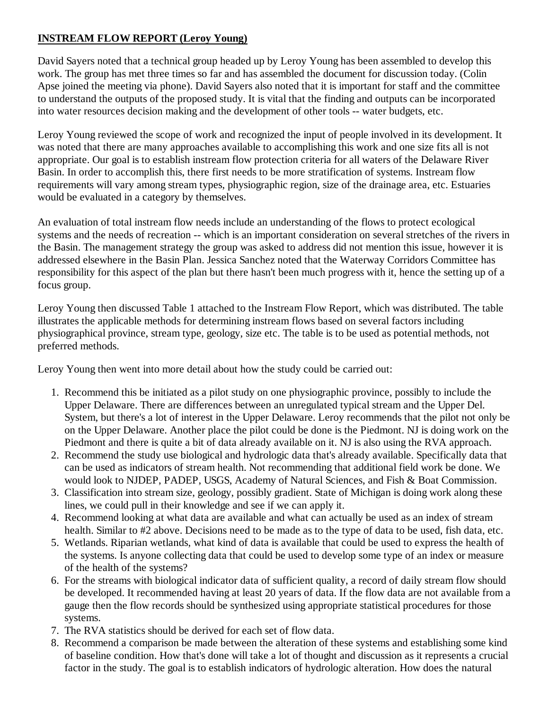## **INSTREAM FLOW REPORT (Leroy Young)**

David Sayers noted that a technical group headed up by Leroy Young has been assembled to develop this work. The group has met three times so far and has assembled the document for discussion today. (Colin Apse joined the meeting via phone). David Sayers also noted that it is important for staff and the committee to understand the outputs of the proposed study. It is vital that the finding and outputs can be incorporated into water resources decision making and the development of other tools -- water budgets, etc.

Leroy Young reviewed the scope of work and recognized the input of people involved in its development. It was noted that there are many approaches available to accomplishing this work and one size fits all is not appropriate. Our goal is to establish instream flow protection criteria for all waters of the Delaware River Basin. In order to accomplish this, there first needs to be more stratification of systems. Instream flow requirements will vary among stream types, physiographic region, size of the drainage area, etc. Estuaries would be evaluated in a category by themselves.

An evaluation of total instream flow needs include an understanding of the flows to protect ecological systems and the needs of recreation -- which is an important consideration on several stretches of the rivers in the Basin. The management strategy the group was asked to address did not mention this issue, however it is addressed elsewhere in the Basin Plan. Jessica Sanchez noted that the Waterway Corridors Committee has responsibility for this aspect of the plan but there hasn't been much progress with it, hence the setting up of a focus group.

Leroy Young then discussed Table 1 attached to the Instream Flow Report, which was distributed. The table illustrates the applicable methods for determining instream flows based on several factors including physiographical province, stream type, geology, size etc. The table is to be used as potential methods, not preferred methods.

Leroy Young then went into more detail about how the study could be carried out:

- 1. Recommend this be initiated as a pilot study on one physiographic province, possibly to include the Upper Delaware. There are differences between an unregulated typical stream and the Upper Del. System, but there's a lot of interest in the Upper Delaware. Leroy recommends that the pilot not only be on the Upper Delaware. Another place the pilot could be done is the Piedmont. NJ is doing work on the Piedmont and there is quite a bit of data already available on it. NJ is also using the RVA approach.
- 2. Recommend the study use biological and hydrologic data that's already available. Specifically data that can be used as indicators of stream health. Not recommending that additional field work be done. We would look to NJDEP, PADEP, USGS, Academy of Natural Sciences, and Fish & Boat Commission.
- Classification into stream size, geology, possibly gradient. State of Michigan is doing work along these 3. lines, we could pull in their knowledge and see if we can apply it.
- 4. Recommend looking at what data are available and what can actually be used as an index of stream health. Similar to #2 above. Decisions need to be made as to the type of data to be used, fish data, etc.
- Wetlands. Riparian wetlands, what kind of data is available that could be used to express the health of 5. the systems. Is anyone collecting data that could be used to develop some type of an index or measure of the health of the systems?
- 6. For the streams with biological indicator data of sufficient quality, a record of daily stream flow should be developed. It recommended having at least 20 years of data. If the flow data are not available from a gauge then the flow records should be synthesized using appropriate statistical procedures for those systems.
- 7. The RVA statistics should be derived for each set of flow data.
- 8. Recommend a comparison be made between the alteration of these systems and establishing some kind of baseline condition. How that's done will take a lot of thought and discussion as it represents a crucial factor in the study. The goal is to establish indicators of hydrologic alteration. How does the natural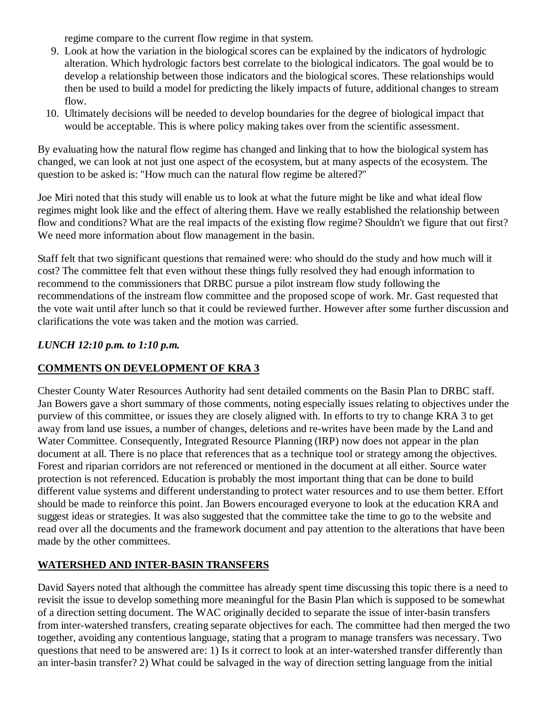regime compare to the current flow regime in that system.

- Look at how the variation in the biological scores can be explained by the indicators of hydrologic 9. alteration. Which hydrologic factors best correlate to the biological indicators. The goal would be to develop a relationship between those indicators and the biological scores. These relationships would then be used to build a model for predicting the likely impacts of future, additional changes to stream flow.
- 10. Ultimately decisions will be needed to develop boundaries for the degree of biological impact that would be acceptable. This is where policy making takes over from the scientific assessment.

By evaluating how the natural flow regime has changed and linking that to how the biological system has changed, we can look at not just one aspect of the ecosystem, but at many aspects of the ecosystem. The question to be asked is: "How much can the natural flow regime be altered?"

Joe Miri noted that this study will enable us to look at what the future might be like and what ideal flow regimes might look like and the effect of altering them. Have we really established the relationship between flow and conditions? What are the real impacts of the existing flow regime? Shouldn't we figure that out first? We need more information about flow management in the basin.

Staff felt that two significant questions that remained were: who should do the study and how much will it cost? The committee felt that even without these things fully resolved they had enough information to recommend to the commissioners that DRBC pursue a pilot instream flow study following the recommendations of the instream flow committee and the proposed scope of work. Mr. Gast requested that the vote wait until after lunch so that it could be reviewed further. However after some further discussion and clarifications the vote was taken and the motion was carried.

### *LUNCH 12:10 p.m. to 1:10 p.m.*

### **COMMENTS ON DEVELOPMENT OF KRA 3**

Chester County Water Resources Authority had sent detailed comments on the Basin Plan to DRBC staff. Jan Bowers gave a short summary of those comments, noting especially issues relating to objectives under the purview of this committee, or issues they are closely aligned with. In efforts to try to change KRA 3 to get away from land use issues, a number of changes, deletions and re-writes have been made by the Land and Water Committee. Consequently, Integrated Resource Planning (IRP) now does not appear in the plan document at all. There is no place that references that as a technique tool or strategy among the objectives. Forest and riparian corridors are not referenced or mentioned in the document at all either. Source water protection is not referenced. Education is probably the most important thing that can be done to build different value systems and different understanding to protect water resources and to use them better. Effort should be made to reinforce this point. Jan Bowers encouraged everyone to look at the education KRA and suggest ideas or strategies. It was also suggested that the committee take the time to go to the website and read over all the documents and the framework document and pay attention to the alterations that have been made by the other committees.

### **WATERSHED AND INTER-BASIN TRANSFERS**

David Sayers noted that although the committee has already spent time discussing this topic there is a need to revisit the issue to develop something more meaningful for the Basin Plan which is supposed to be somewhat of a direction setting document. The WAC originally decided to separate the issue of inter-basin transfers from inter-watershed transfers, creating separate objectives for each. The committee had then merged the two together, avoiding any contentious language, stating that a program to manage transfers was necessary. Two questions that need to be answered are: 1) Is it correct to look at an inter-watershed transfer differently than an inter-basin transfer? 2) What could be salvaged in the way of direction setting language from the initial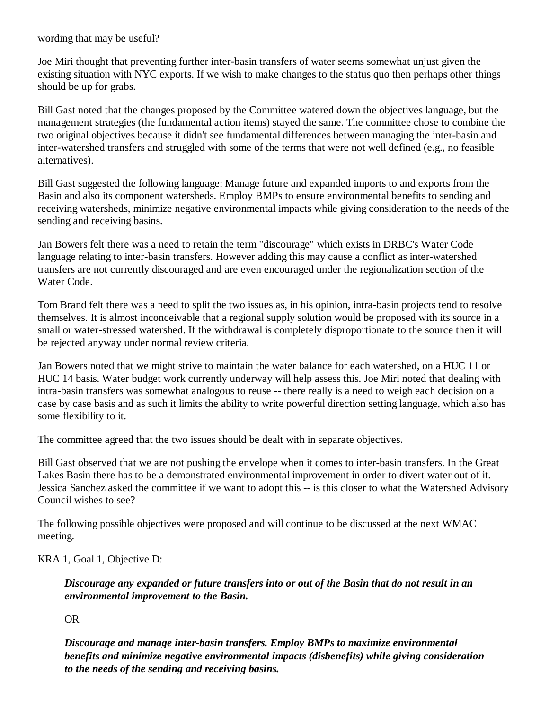wording that may be useful?

Joe Miri thought that preventing further inter-basin transfers of water seems somewhat unjust given the existing situation with NYC exports. If we wish to make changes to the status quo then perhaps other things should be up for grabs.

Bill Gast noted that the changes proposed by the Committee watered down the objectives language, but the management strategies (the fundamental action items) stayed the same. The committee chose to combine the two original objectives because it didn't see fundamental differences between managing the inter-basin and inter-watershed transfers and struggled with some of the terms that were not well defined (e.g., no feasible alternatives).

Bill Gast suggested the following language: Manage future and expanded imports to and exports from the Basin and also its component watersheds. Employ BMPs to ensure environmental benefits to sending and receiving watersheds, minimize negative environmental impacts while giving consideration to the needs of the sending and receiving basins.

Jan Bowers felt there was a need to retain the term "discourage" which exists in DRBC's Water Code language relating to inter-basin transfers. However adding this may cause a conflict as inter-watershed transfers are not currently discouraged and are even encouraged under the regionalization section of the Water Code.

Tom Brand felt there was a need to split the two issues as, in his opinion, intra-basin projects tend to resolve themselves. It is almost inconceivable that a regional supply solution would be proposed with its source in a small or water-stressed watershed. If the withdrawal is completely disproportionate to the source then it will be rejected anyway under normal review criteria.

Jan Bowers noted that we might strive to maintain the water balance for each watershed, on a HUC 11 or HUC 14 basis. Water budget work currently underway will help assess this. Joe Miri noted that dealing with intra-basin transfers was somewhat analogous to reuse -- there really is a need to weigh each decision on a case by case basis and as such it limits the ability to write powerful direction setting language, which also has some flexibility to it.

The committee agreed that the two issues should be dealt with in separate objectives.

Bill Gast observed that we are not pushing the envelope when it comes to inter-basin transfers. In the Great Lakes Basin there has to be a demonstrated environmental improvement in order to divert water out of it. Jessica Sanchez asked the committee if we want to adopt this -- is this closer to what the Watershed Advisory Council wishes to see?

The following possible objectives were proposed and will continue to be discussed at the next WMAC meeting.

KRA 1, Goal 1, Objective D:

*Discourage any expanded or future transfers into or out of the Basin that do not result in an environmental improvement to the Basin.*

OR

*Discourage and manage inter-basin transfers. Employ BMPs to maximize environmental benefits and minimize negative environmental impacts (disbenefits) while giving consideration to the needs of the sending and receiving basins.*